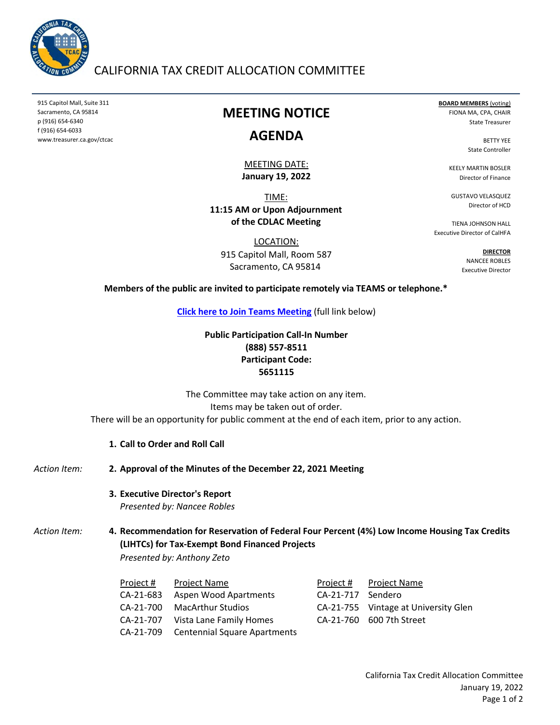

# CALIFORNIA TAX CREDIT ALLOCATION COMMITTEE

915 Capitol Mall, Suite 311 Sacramento, CA 95814 p (916) 654-6340 f (916) 654-6033 www.treasurer.ca.gov/ctcac

# **MEETING NOTICE**

## **AGENDA**

**January 19, 2022** MEETING DATE:

TIME: **11:15 AM or Upon Adjournment of the CDLAC Meeting**

LOCATION: 915 Capitol Mall, Room 587 Sacramento, CA 95814

**BOARD MEMBERS** (voting) FIONA MA, CPA, CHAIR State Treasurer

> BETTY YEE State Controller

KEELY MARTIN BOSLER Director of Finance

GUSTAVO VELASQUEZ Director of HCD

TIENA JOHNSON HALL Executive Director of CalHFA

> **DIRECTOR** NANCEE ROBLES Executive Director

#### **Members of the public are invited to participate remotely via TEAMS or telephone.\***

**[Click here to Join Teams Meeting](https://teams.microsoft.com/l/meetup-join/19%3ameeting_OTA5Njc3NmMtNjY1My00ZmFkLWE1MWYtNGJlNjAxYWY5ZjZi%40thread.v2/0?context=%7b%22Tid%22%3a%223bee5c8a-6cb4-4c10-a77b-cd2eaeb7534e%22%2c%22Oid%22%3a%226f508fe0-4cf8-4f2f-9e3d-4a9f8e1c293f%22%7d)** (full link below)

## **Public Participation Call-In Number (888) 557-8511 Participant Code: 5651115**

There will be an opportunity for public comment at the end of each item, prior to any action. The Committee may take action on any item. Items may be taken out of order.

- **1. Call to Order and Roll Call**
- *Action Item:* **2. Approval of the Minutes of the December 22, 2021 Meeting**
	- **3. Executive Director's Report** *Presented by: Nancee Robles*

Action Item: **Recommendation for Reservation of Federal Four Percent (4%) Low Income Housing Tax Credits (LIHTCs) for Tax-Exempt Bond Financed Projects** *Presented by: Anthony Zeto*

| Project # | Project Name                           |                   | Project # Project Name               |
|-----------|----------------------------------------|-------------------|--------------------------------------|
| CA-21-683 | <b>Aspen Wood Apartments</b>           | CA-21-717 Sendero |                                      |
|           | CA-21-700 MacArthur Studios            |                   | CA-21-755 Vintage at University Glen |
|           | CA-21-707 Vista Lane Family Homes      |                   | CA-21-760 600 7th Street             |
|           | CA-21-709 Centennial Square Apartments |                   |                                      |